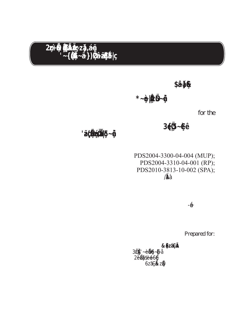### *for the*

### Ž. *3
Ž{…'|5
~•'•*

### PDS2004-3300-04-004 (MUP); PDS2004-3310-04-001 (RP); PDS2010-3813-10-002 (SPA); /
ˆ€1
ˆ

-Ž

*Prepared for:*



£•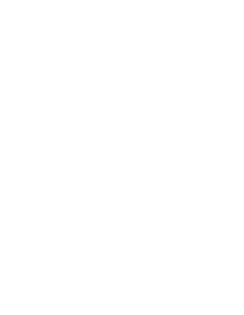### CHRISTIAN WHEELER E N G I N E E R I N G

December 4, 2014

Superior Ready Mix Concrete, L.P. CWE 2110171.02R 1508 West Mission Road Escondido, California 92029

**Subject: Revised Report of Supplemental Slope Stability Analyses and Reclamation Fill Settlement, Proposed Otay Hills Quarry, Alta Road and Otay Mesa Road, San Diego County, California.**

Dear Ladies and Gentlemen,

In accordance with your request and our Proposal dated March 17, 2011, Christian Wheeler Engineering has prepared this revised report to provide the results of our supplemental slope stability analyses for the subject project. Our supplemental analyses addressed the proposed Phase 2A, 2B, and 2C cut (extraction) slopes, the proposed Phases 3A, 3B, 3C, and 3D cut (extraction) slopes, the proposed Phases 4B, 4C, and 4D fill (reclamation) slopes, and the final (post reclamation) project cut and fill slopes. Full descriptions of the site's physical and geologic conditions as well as the scope of the proposed quarry project have been provided in our referenced Report of Geologic Reconnaissance (CWE, 2011).

**SUPPLEMETNAL STABILITY ANALYSES:** As described in our referenced report (CWE, 2011), "Global stability of steep rock slopes, such as those proposed for the quarry operation, depends on several factors such as type of rock, rock strength, orientation of fractures or other planes of weakness, and slope angles. In quarry operations with steep, high slopes, factors of safety typically range from approximately 1.2 to greater than 1.5. The previous slope stability analysis of the site performed by Testing Engineers in 2005 indicated that the proposed cut slopes should be adequately stable to the proposed heights for slopes as steep as 1:1 (horizontal to vertical), and possibly as steep as 0.5:1. Based on our review of those calculations, as well as our review of other available data pertaining to the stability of rock slopes in quarry operations, it is our opinion that the previous slope stability analysis by Testing Engineers adequately addresses the stability of the proposed cut slopes."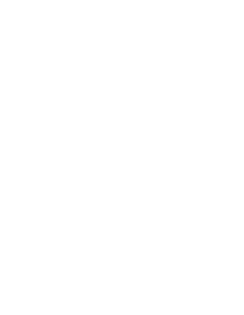Our initial supplemental analyses performed in the preparation of this report included rock slope stability analyses (modelling planar and wedge failures) of the steepest of the proposed extraction (cut) slopes during Phases 2A, 2B, 2C, 3A, 3B, 3C, and 3D of the project utilizing the referenced Rockpack III © software prepared by C.F. Watts & Associates. Analyses of the extraction slopes that will remain as part of the project after the completion of the Phase 4E reclamation phase were also conducted. The findings presented herein are based on the assumption that the geologic conditions at the site, including rock type, rock strength, and degree and pattern of fracturing, are similar to those described in the Geotechnical Evaluation Report, Proposed Otay Hills Quarry prepared by Testing Engineers in September 2005.

The following Table I presents the results (factors-of-safety against failure) of our static and pseudo static rock slope analyses for the extraction slopes proposed for this project as well as the final cut slopes to remain upon completion of Phase 4E (completion of reclamation). It should be noted that within Phase 2 of the project the interim and side quarry slopes will be approximately 1:1 (H:V) and during Phase 3 the interim extraction slopes will be approximately 1:1 (H:V) while the side quarry slopes will be cut at inclinations of 0.5:1 (H:V). Our analyses of the Phase 3 slopes focused on the steeper, side quarry slopes.

| Phase               | Description of Extraction Slope                             | Static F.O.S. | Pseudo-Static<br><b>F.O.S.</b> |
|---------------------|-------------------------------------------------------------|---------------|--------------------------------|
| 2A                  | 175' high $@1:1$ (H:V) inclination                          | 4.1           | 3.2                            |
| 2B                  | 175' high @ 1:1 (H:V) inclination                           | 4.1           | 3.2                            |
| 2C                  | 165' high @ 1:1 (H:V) inclination                           | 4.3           | 3.4                            |
| 3A                  | 260' high @ 0.5:1 (H:V) inclination<br>with 1:1 cut above   | 2.4           | 2.1                            |
| 3B                  | 525' high $@$ 0.5:1 (H:V) inclination<br>with 1:1 cut above | 1.4           | 1.2                            |
| 3C                  | 525' high @ 0.5:1 (H:V) inclination<br>with 1:1 cut above   | 1.4           | 1.2                            |
| 3D                  | 500' high $@$ 0.5:1 (H:V) inclination<br>with 1:1 cut above | 1.5           | 1.2                            |
| Final Cut<br>Slopes | 200' high $@1:1$ (H:V) inclination                          | 4.7           | 3.7                            |

| TABLE I - EXTRACTION & FINAL CUT SLOPES |  |
|-----------------------------------------|--|
|-----------------------------------------|--|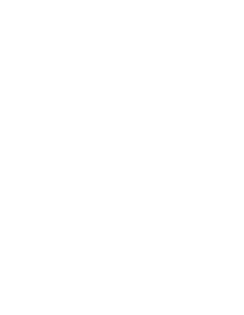The results of our rock slope stability analyses indicate that the steepest of the proposed extraction slopes will demonstrate minimum factors-of-safety against static and pseudo-static failure in excess of the minimum County requirements for temporary slopes of 1.3 and 1.1, respectively. Based on these results along with the nature of the material at the site, it is our opinion that the risk of significant, deep-seated slope instability in the native materials at the site can be considered to be low. It should be noted localized areas of potentially unstable slopes might be present where intersecting fractures or other planes of weakness are exposed in steep cut slopes. The potential for such unforeseen areas of potentially unstable conditions could be mitigated during site extraction with recommendations presented by a qualified engineer that would be based on site observations by a qualified geologist.

Furthermore, the final cut slopes will demonstrate minimum factors-of-safety against static and pseudo-static failure in excess of the minimum County requirements for final or permanent slopes of 1.5 and 1.1, respectively. The final cut slopes are anticipated to be stable and should not endanger public or private property or result in the deposition of debris on any public way or interfere with any existing drainage courses. The need for rock fall or debris barriers or fences along final cut slopes should be addressed by a qualified engineer at the completion of site reclamation.

We have also performed supplemental slope stability analyses of the proposed fill slopes associated with the Phase 4 reclamation operations at the site. As described in our previous report, the site will be used as an Inert Debris Engineered Fill (landfill). The material placed in the Inert Debris Engineered Fill will be imported to the site over a space of approximately 90 to 95 years and will consist of a variety of materials (CWE, 2011). The results of the reclamation slope stability analyses herein are based on the assumption that the fill materials will have strength parameters similar to those described in our previous report (CWE, 2011). The following Table II presents the results of our analyses for the proposed fill slopes (reclamation and final) proposed for this project. As necessary, the inclinations of the temporary reclamation slopes were adjusted in our analyses in order to allow the proposed fill slopes to demonstrate minimum factors-of-safety against failure under static and pseudo static conditions of 1.3 and 1.1, respectively, which are the minimums required by the County.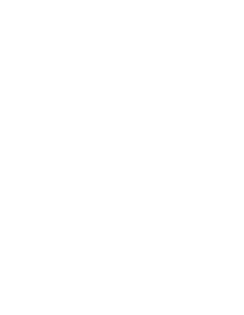| Phase      | <b>Slope Description</b>  | <b>Static</b> | Pseudo-Static       | <b>Required Slope</b> |
|------------|---------------------------|---------------|---------------------|-----------------------|
|            |                           | <b>F.O.S.</b> | <b>F.O.S.</b>       | Inclination (max)     |
| 4A         | 285' high @ 2.1:1 (H:V)   | 1.3           | 1.0<br>(inadequate) | 2.25:1                |
| 4A         | 285' high @ 2.25:1 (H:V)  |               | 1.1                 |                       |
| 4B & 4C    | 550' high @ 2.5:1 (H:V)   | 1.4           | 1.0<br>(inadequate) | 2.6:1                 |
| 4B & 4c    | 550' high @ 2.6:1 (H:V)   |               | 1.1                 |                       |
| 4D         | 450' high $@ 2.2:1 (H:V)$ | 1.3           | 1.0<br>(inadequate) | 2.5:1                 |
| 4D         | 450' high $@$ 2.5:1 (H:V) |               | 1.1                 |                       |
| Final 4D/E | 70' high @ 2.0:1          | 1.5           | 1.1                 | As steep as 2:1       |

### **TABLE II –FILL SLOPES (RECLAMATION & FINAL)**

As demonstrated by the results of our reclamation slope stability analyses (included in Appendix A at the rear of this report), in order to demonstrate minimum factors-of-safety of 1.1 against pseudo-static, temporary slope failure, the temporary Phase 4A reclamation slope will need to be flattened to an inclination of 2.25:1 (H:V), the Phase 4B and 4C slopes will need to be flattened to inclinations of 2.6:1 (H:V), and the Phase 4D reclamation slope will need to be constructed at a 2.5:1 (H:V) inclination.

It should be noted that although the results of our pseudo-static analyses demonstrate that the proposed 450-foot-high 4D reclamation slope will need to constructed at a maximum inclination of 2.5:1 (H:V) in order to demonstrate adequate temporary stability, upon completion of Phase 4E, the proposed 70-foot-high fill slope that will remain could be steepened to 2.0:1 (H:V) and still demonstrate adequate stability.

Included in Appendix B of this report are the results of our surficial stability analysis of the final fill slope (following Phase 4E) that could be constructed as steeply as 2:1 (H:V). This analysis demonstrates that the proposed final fill slope will demonstrate a factor-of-safety against surficial failures of 1.5, which is the minimum that is generally considered to be stable.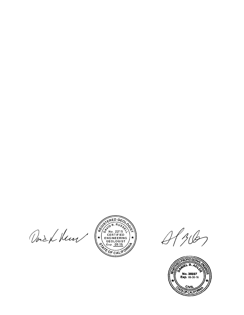From a geotechnical standpoint, the inclusion of drainage terraces on the final cut and fill slopes is not considered necessary as such terraces will not adversely affect or significantly improve the stabilities of the proposed slopes.

**RECLAMATION FILL SETTLEMENT:** As described on page 6 of our referenced report, "some settlement of the fill will occur. The amount of settlement is expected to range from approximately two percent to approximately five percent. The amount of settlement will depend on a variety of factors such as the type of material used in the fill, the degree of compaction of the fill, and the thickness of the fill. The deeper portions of the fill will probably experience greater settlement than the upper portions of the fill, due in part to the increased weight of the overlying fill. It is recommended that settlement monuments be installed and the potential fill settlement be evaluated by qualified personnel as the backfilling operations approach proposed finish grade elevations" (CWE, 2011). Although difficult to quantitatively predict given the potential variability in the factors described above, for planning purposes we expect that primary settlement of the deeper fill areas will occur from the beginning of reclamation and likely continue over several years. Secondary settlement of the fills may likely continue for a few decades after the completion of reclamation. As such, the placement and periodic monitoring of settlement monuments will be necessary to assist in future development of the site.

If you have any questions after reviewing this report, please do not hesitate to contact this office. This opportunity to be of professional service is sincerely appreciated.

Respectfully submitted,

CHRISTIAN WHEELER ENGINEERING

- cc: (2) Submitted
	- (4) EnviroMine Inc., 3511 Camino del Rio South, Suite 403, San Diego, CA 92108 (1) via email: travisj@enviromineinc.com



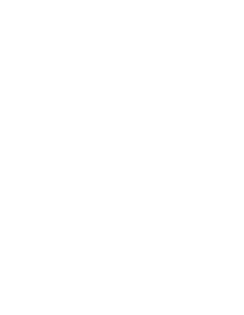### **REFERENCES**

California Division of Mines and Geology, 1997, Guidelines for Evaluating and Mitigating Seismic Hazards in California, Special Publication 117.

C.F. Watts & Associates, 2003, Rockpack III © for Windows.

Christian Wheeler Engineering, 2011, Report of Geologic Reconnaissance and Slope Stability Analysis, Proposed Otay Hills Quarry, Alta Road and Otay Mesa Road, San Diego County, California, CWE Report No. 2110171.01, dated October 6, 2011.

Eberhardt, Erik, 2003, Rock Slope Stability Analysis, Utilization of Advanced Numerical Techniques.

EnviroMine, Inc., 2010, Project Description for the Otay Hills Project, dated October 2010.

Geotechnics Incorporated, 2010, Feasibility of Restoration Backfill, Proposed Otay Hills Quarry, San Diego County, California Project No. 0695-006-00, Document No. 10-0387R, dated July 2, 2010.

Hoek, E. and Bray, J.W., 1974, Rock Slope Engineering.

Jennings, C.W., 1975, Fault Map of California, California Division of Mines and Geology, Map No. 1; Scale 1:750,000.

Testing Engineers, 2005, Geotechnical Evaluation Report, Proposed Otay Hills Quarry, Contract No. 85012, dated September 28, 2005.

United States Geological Survey 2004, Geologic Map of the El Cajon 30' X 60' Quadrangle, California, Open-File Report 2004-1361; compiled by Victoria R. Todd.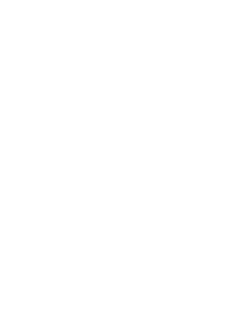### **PLANS AND TOPOGRAPHIC MAPS**

Chang Consultants, 2011, Plot Plan for Otay Hills, 2 Sheets; Scale: 1 inch = 200 feet, print date May 5, 2013.

Chang Consultants, 2011, Reclamation Plan for Otay Hills, 3 Sheets; Scale: 1 inch = 200 feet, print date May 5, 2013.

County of San Diego, 1963, Topographic Map Sheet 242-1791; Scale: 1 inch = 200 feet

County of San Diego, 1963, Topographic Map Sheet 242-1797; Scale: 1 inch = 200 feet

County of San Diego, 1963, Topographic Map Sheet 246-1791; Scale: 1 inch = 200 feet

County of San Diego, 1963, Topographic Map Sheet 246-1797; Scale: 1 inch = 200 feet

County of San Diego, 1983, Ortho-Topographic Map Sheet 242-1791; Scale: 1 inch = 200 feet

County of San Diego, 1983, Ortho-Topographic Map Sheet 242-1797; Scale: 1 inch = 200 feet

County of San Diego, 1983, Ortho-Topographic Map Sheet 246-1791; Scale: 1 inch = 200 feet

County of San Diego, 1983, Ortho-Topographic Map Sheet 246-1797; Scale: 1 inch = 200 feet

United States Geological Survey, 1975, Otay Mesa Quadrangle; Scale 1 inch = 2000 feet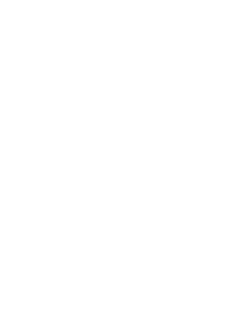### **PHOTOGRAPHS**

San Diego County, 1928, Flight 78A and 78B; Scale: 1 inch = 1000 feet (approximate)

San Diego County, 1953, Flight 3M, Photographs 23, 24, and 25, Scale: 1 inch = 1700 feet (approximate)

San Diego County, 1953, Flight 3M, Photographs 23, 24, and 25, Scale: 1 inch = 1700 feet (approximate)

San Diego County, 1960, Flight 14, Photographs 24 and 25; Scale: 1 inch = 1000 feet (approximate)

San Diego County, 1968, Flight 3JJ, Photographs 41 and 42; Scale: 1 inch= 1000 feet (approximate)

San Diego County, 1970, Flight 13, Photographs 1, 2, and 3; Scale: 1 inch= 2000 feet (approximate)

San Diego County, 1973, Flight 14, Photographs 1, 2, and 3; Scale: 1 inch= 1000 feet (approximate)

San Diego County, 1978, Flight 34D, Photographs 32, 33, and 34; Scale: 1 inch= 1000 feet (approximate)

San Diego County, 1983, Photographs 133 and 134; Scale: 1 inch= 2000 feet (approximate)

San Diego County, 1989, Photograph 18-45; Scale: 1 inch= 2640 feet (approximate)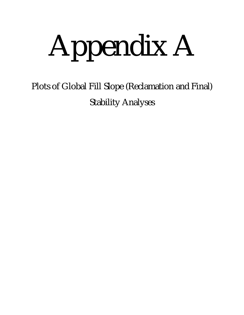## Appendix A

Plots of Global Fill Slope (Reclamation and Final) Stability Analyses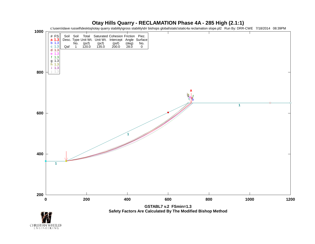

**CHRISTIAN WHEELER** ENGINEERING

### **Otay Hills Quarry - RECLAMATION Phase 4A - 285 High (2.1:1)**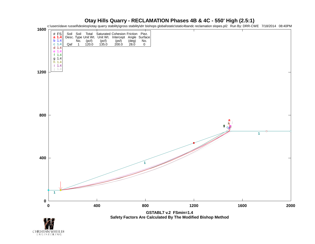### **Otay Hills Quarry - RECLAMATION Phases 4B & 4C - 550' High (2.5:1)**



**Safety Factors Are Calculated By The Modified Bishop Method**

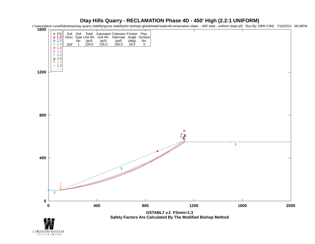### **Otay Hills Quarry - RECLAMATION Phase 4D - 450' High (2.2:1 UNIFORM)**



**CHRISTIAN WHEELER** ENGINEERING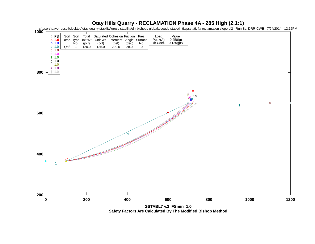

### **Otay Hills Quarry - RECLAMATION Phase 4A - 285 High (2.1:1)**

**Safety Factors Are Calculated By The Modified Bishop Method**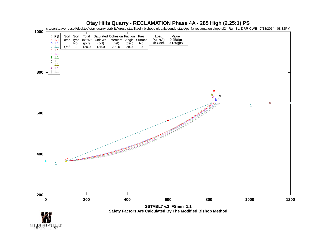

**CHRISTIAN WHEELER** ENGINEERING

### **Otay Hills Quarry - RECLAMATION Phase 4A - 285 High (2.25:1) PS**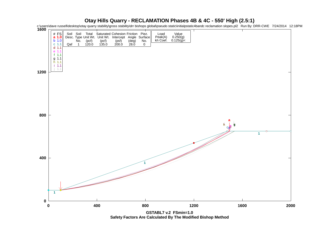### **Otay Hills Quarry - RECLAMATION Phases 4B & 4C - 550' High (2.5:1)**



**Safety Factors Are Calculated By The Modified Bishop Method**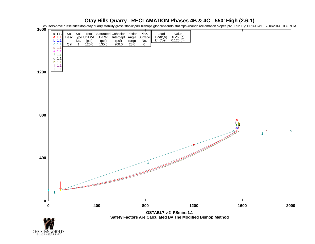

### **Otay Hills Quarry - RECLAMATION Phases 4B & 4C - 550' High (2.6:1)**

**CHRISTIAN WHEELER** ENGINEERING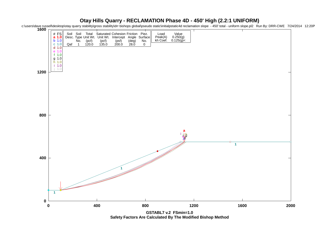### **Otay Hills Quarry - RECLAMATION Phase 4D - 450' High (2.2:1 UNIFORM)**

c:\users\dave russell\desktop\otay quarry stability\gross stability\drr bishops global\pseudo static\initialpstatic4d reclamation slope - 450' total - uniform slope.pl2 Run By: DRR-CWE 7/24/2014 12:20P<br>1600 <del>| | | | | | | </del>



**Safety Factors Are Calculated By The Modified Bishop Method**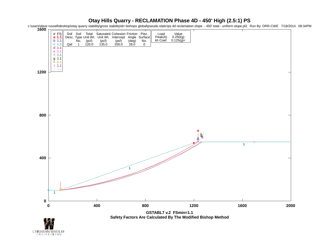### **Otay Hills Quarry - RECLAMATION Phase 4D - 450' High (2.5:1) PS**



**CHRISTIAN WHEELER** ENGINEERING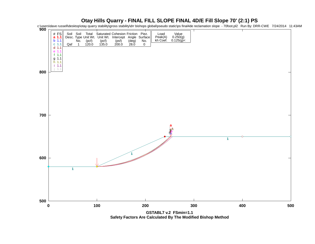### **Otay Hills Quarry - FINAL FILL SLOPE FINAL 4D/E Fill Slope 70' (2:1) PS**



**Safety Factors Are Calculated By The Modified Bishop Method**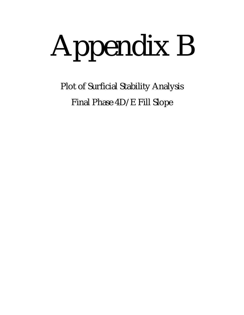# Appendix B

Plot of Surficial Stability Analysis Final Phase 4D/E Fill Slope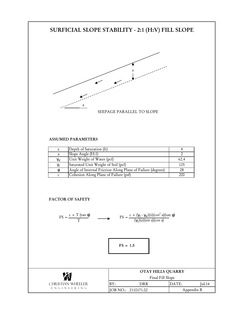### **SURFICIAL SLOPE STABILITY - 2:1 (H:V) FILL SLOPE**



SEEPAGE PARALLEL TO SLOPE

### **ASSUMED PARAMETERS**

|                  | Depth of Saturation (ft)                                    |      |
|------------------|-------------------------------------------------------------|------|
|                  | Slope Angle (H:1)                                           |      |
| $\gamma_{w}$     | Unit Weight of Water (pcf)                                  | 62.4 |
| $\gamma_{\rm T}$ | Saturated Unit Weight of Soil (pcf)                         | 125  |
|                  | Angle of Internal Friction Along Plane of Failure (degrees) | 28   |
|                  | Cohesion Along Plane of Failure (psf)                       | 200  |

**FACTOR OF SAFETY**

$$
FS = \frac{c + T (\tan \phi)}{T} \qquad \longrightarrow \qquad FS = \frac{c + (\gamma_T - \gamma_W)(z)(\cos^2 a)(\tan \phi)}{(\gamma_T)(z)(\sin a)(\cos a)}
$$

$$
FS = 1.5
$$

| 29                       |     | <b>OTAY HILLS QUARRY</b> |       |                |  |
|--------------------------|-----|--------------------------|-------|----------------|--|
|                          |     | Final Fill Slope         |       |                |  |
| <b>CHRISTIAN WHEELER</b> | BY: | DRR                      | DATE: | $\lceil$ ul-14 |  |
| ENGINEERING              |     | [OB NO.: 2110171.02]     |       | Appendix B     |  |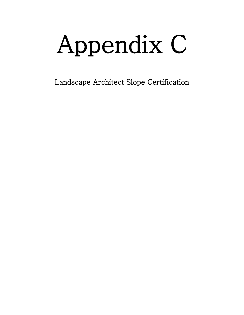### Appendix C

Landscape Architect Slope Certification